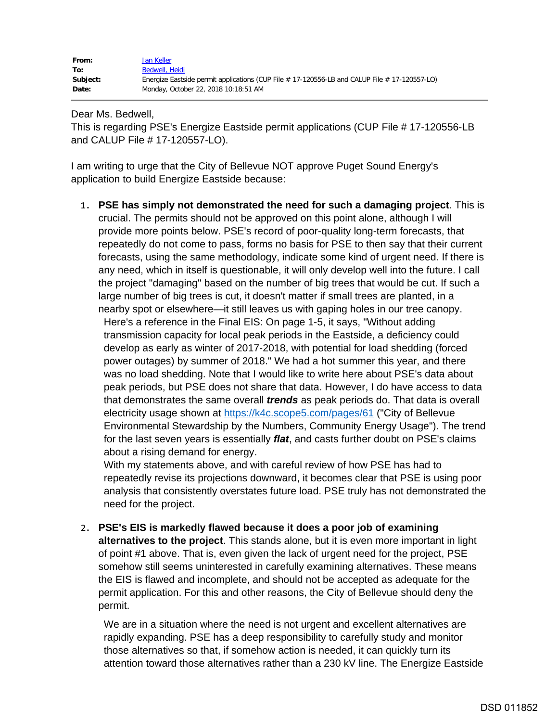| From:    | Jan Keller                                                                                        |
|----------|---------------------------------------------------------------------------------------------------|
| To:      | Bedwell, Heidi                                                                                    |
| Subject: | Energize Eastside permit applications (CUP File $#$ 17-120556-LB and CALUP File $#$ 17-120557-LO) |
| Date:    | Monday, October 22, 2018 10:18:51 AM                                                              |

Dear Ms. Bedwell,

This is regarding PSE's Energize Eastside permit applications (CUP File # 17-120556-LB and CALUP File # 17-120557-LO).

I am writing to urge that the City of Bellevue NOT approve Puget Sound Energy's application to build Energize Eastside because:

1. **PSE has simply not demonstrated the need for such a damaging project**. This is crucial. The permits should not be approved on this point alone, although I will provide more points below. PSE's record of poor-quality long-term forecasts, that repeatedly do not come to pass, forms no basis for PSE to then say that their current forecasts, using the same methodology, indicate some kind of urgent need. If there is any need, which in itself is questionable, it will only develop well into the future. I call the project "damaging" based on the number of big trees that would be cut. If such a large number of big trees is cut, it doesn't matter if small trees are planted, in a nearby spot or elsewhere—it still leaves us with gaping holes in our tree canopy. Here's a reference in the Final EIS: On page 1-5, it says, "Without adding transmission capacity for local peak periods in the Eastside, a deficiency could develop as early as winter of 2017-2018, with potential for load shedding (forced power outages) by summer of 2018." We had a hot summer this year, and there was no load shedding. Note that I would like to write here about PSE's data about peak periods, but PSE does not share that data. However, I do have access to data that demonstrates the same overall *trends* as peak periods do. That data is overall electricity usage shown at<https://k4c.scope5.com/pages/61> ("City of Bellevue Environmental Stewardship by the Numbers, Community Energy Usage"). The trend for the last seven years is essentially *flat*, and casts further doubt on PSE's claims about a rising demand for energy.

With my statements above, and with careful review of how PSE has had to repeatedly revise its projections downward, it becomes clear that PSE is using poor analysis that consistently overstates future load. PSE truly has not demonstrated the need for the project.

2. **PSE's EIS is markedly flawed because it does a poor job of examining alternatives to the project**. This stands alone, but it is even more important in light of point #1 above. That is, even given the lack of urgent need for the project, PSE somehow still seems uninterested in carefully examining alternatives. These means the EIS is flawed and incomplete, and should not be accepted as adequate for the permit application. For this and other reasons, the City of Bellevue should deny the permit.

We are in a situation where the need is not urgent and excellent alternatives are rapidly expanding. PSE has a deep responsibility to carefully study and monitor those alternatives so that, if somehow action is needed, it can quickly turn its attention toward those alternatives rather than a 230 kV line. The Energize Eastside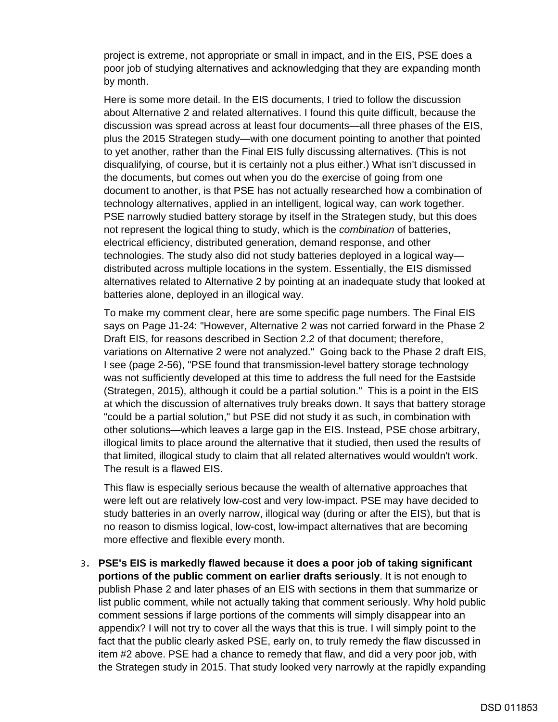project is extreme, not appropriate or small in impact, and in the EIS, PSE does a poor job of studying alternatives and acknowledging that they are expanding month by month.

Here is some more detail. In the EIS documents, I tried to follow the discussion about Alternative 2 and related alternatives. I found this quite difficult, because the discussion was spread across at least four documents—all three phases of the EIS, plus the 2015 Strategen study—with one document pointing to another that pointed to yet another, rather than the Final EIS fully discussing alternatives. (This is not disqualifying, of course, but it is certainly not a plus either.) What isn't discussed in the documents, but comes out when you do the exercise of going from one document to another, is that PSE has not actually researched how a combination of technology alternatives, applied in an intelligent, logical way, can work together. PSE narrowly studied battery storage by itself in the Strategen study, but this does not represent the logical thing to study, which is the *combination* of batteries, electrical efficiency, distributed generation, demand response, and other technologies. The study also did not study batteries deployed in a logical way distributed across multiple locations in the system. Essentially, the EIS dismissed alternatives related to Alternative 2 by pointing at an inadequate study that looked at batteries alone, deployed in an illogical way.

To make my comment clear, here are some specific page numbers. The Final EIS says on Page J1-24: "However, Alternative 2 was not carried forward in the Phase 2 Draft EIS, for reasons described in Section 2.2 of that document; therefore, variations on Alternative 2 were not analyzed." Going back to the Phase 2 draft EIS, I see (page 2-56), "PSE found that transmission-level battery storage technology was not sufficiently developed at this time to address the full need for the Eastside (Strategen, 2015), although it could be a partial solution." This is a point in the EIS at which the discussion of alternatives truly breaks down. It says that battery storage "could be a partial solution," but PSE did not study it as such, in combination with other solutions—which leaves a large gap in the EIS. Instead, PSE chose arbitrary, illogical limits to place around the alternative that it studied, then used the results of that limited, illogical study to claim that all related alternatives would wouldn't work. The result is a flawed EIS.

This flaw is especially serious because the wealth of alternative approaches that were left out are relatively low-cost and very low-impact. PSE may have decided to study batteries in an overly narrow, illogical way (during or after the EIS), but that is no reason to dismiss logical, low-cost, low-impact alternatives that are becoming more effective and flexible every month.

3. **PSE's EIS is markedly flawed because it does a poor job of taking significant portions of the public comment on earlier drafts seriously**. It is not enough to publish Phase 2 and later phases of an EIS with sections in them that summarize or list public comment, while not actually taking that comment seriously. Why hold public comment sessions if large portions of the comments will simply disappear into an appendix? I will not try to cover all the ways that this is true. I will simply point to the fact that the public clearly asked PSE, early on, to truly remedy the flaw discussed in item #2 above. PSE had a chance to remedy that flaw, and did a very poor job, with the Strategen study in 2015. That study looked very narrowly at the rapidly expanding